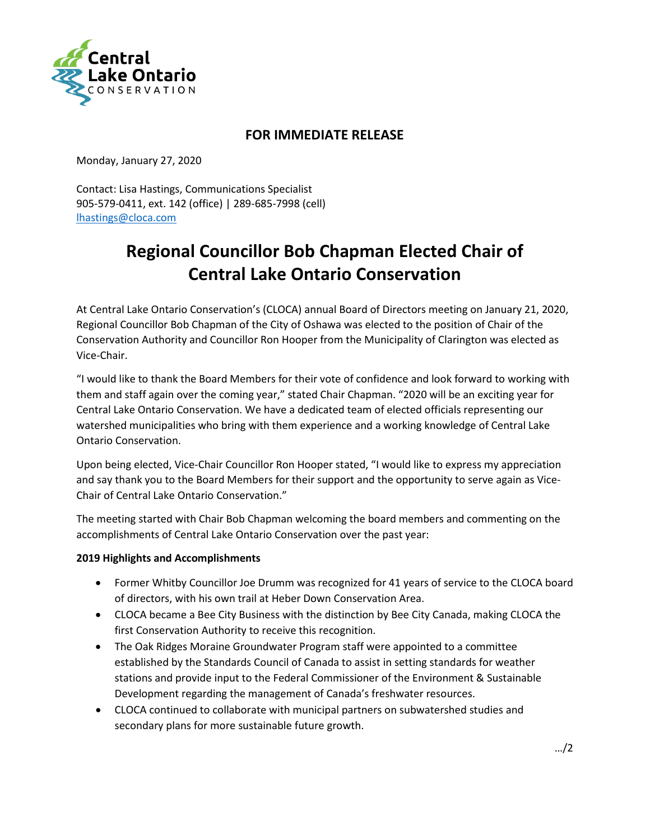

## **FOR IMMEDIATE RELEASE**

Monday, January 27, 2020

Contact: Lisa Hastings, Communications Specialist 905-579-0411, ext. 142 (office) | 289-685-7998 (cell) [lhastings@cloca.com](mailto:lhastings@cloca.com)

# **Regional Councillor Bob Chapman Elected Chair of Central Lake Ontario Conservation**

At Central Lake Ontario Conservation's (CLOCA) annual Board of Directors meeting on January 21, 2020, Regional Councillor Bob Chapman of the City of Oshawa was elected to the position of Chair of the Conservation Authority and Councillor Ron Hooper from the Municipality of Clarington was elected as Vice-Chair.

"I would like to thank the Board Members for their vote of confidence and look forward to working with them and staff again over the coming year," stated Chair Chapman. "2020 will be an exciting year for Central Lake Ontario Conservation. We have a dedicated team of elected officials representing our watershed municipalities who bring with them experience and a working knowledge of Central Lake Ontario Conservation.

Upon being elected, Vice-Chair Councillor Ron Hooper stated, "I would like to express my appreciation and say thank you to the Board Members for their support and the opportunity to serve again as Vice-Chair of Central Lake Ontario Conservation."

The meeting started with Chair Bob Chapman welcoming the board members and commenting on the accomplishments of Central Lake Ontario Conservation over the past year:

#### **2019 Highlights and Accomplishments**

- Former Whitby Councillor Joe Drumm was recognized for 41 years of service to the CLOCA board of directors, with his own trail at Heber Down Conservation Area.
- CLOCA became a Bee City Business with the distinction by Bee City Canada, making CLOCA the first Conservation Authority to receive this recognition.
- The Oak Ridges Moraine Groundwater Program staff were appointed to a committee established by the Standards Council of Canada to assist in setting standards for weather stations and provide input to the Federal Commissioner of the Environment & Sustainable Development regarding the management of Canada's freshwater resources.
- CLOCA continued to collaborate with municipal partners on subwatershed studies and secondary plans for more sustainable future growth.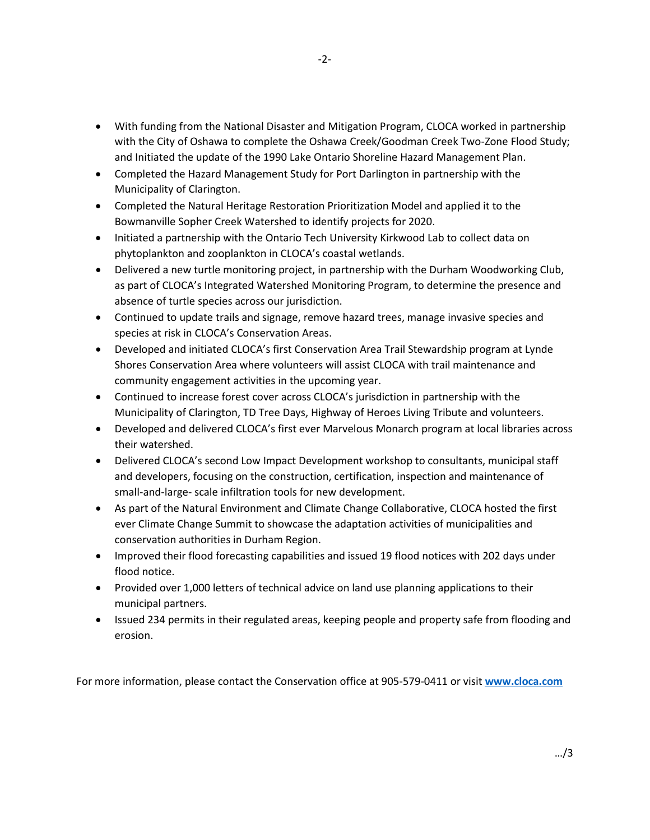- With funding from the National Disaster and Mitigation Program, CLOCA worked in partnership with the City of Oshawa to complete the Oshawa Creek/Goodman Creek Two-Zone Flood Study; and Initiated the update of the 1990 Lake Ontario Shoreline Hazard Management Plan.
- Completed the Hazard Management Study for Port Darlington in partnership with the Municipality of Clarington.
- Completed the Natural Heritage Restoration Prioritization Model and applied it to the Bowmanville Sopher Creek Watershed to identify projects for 2020.
- Initiated a partnership with the Ontario Tech University Kirkwood Lab to collect data on phytoplankton and zooplankton in CLOCA's coastal wetlands.
- Delivered a new turtle monitoring project, in partnership with the Durham Woodworking Club, as part of CLOCA's Integrated Watershed Monitoring Program, to determine the presence and absence of turtle species across our jurisdiction.
- Continued to update trails and signage, remove hazard trees, manage invasive species and species at risk in CLOCA's Conservation Areas.
- Developed and initiated CLOCA's first Conservation Area Trail Stewardship program at Lynde Shores Conservation Area where volunteers will assist CLOCA with trail maintenance and community engagement activities in the upcoming year.
- Continued to increase forest cover across CLOCA's jurisdiction in partnership with the Municipality of Clarington, TD Tree Days, Highway of Heroes Living Tribute and volunteers.
- Developed and delivered CLOCA's first ever Marvelous Monarch program at local libraries across their watershed.
- Delivered CLOCA's second Low Impact Development workshop to consultants, municipal staff and developers, focusing on the construction, certification, inspection and maintenance of small-and-large- scale infiltration tools for new development.
- As part of the Natural Environment and Climate Change Collaborative, CLOCA hosted the first ever Climate Change Summit to showcase the adaptation activities of municipalities and conservation authorities in Durham Region.
- Improved their flood forecasting capabilities and issued 19 flood notices with 202 days under flood notice.
- Provided over 1,000 letters of technical advice on land use planning applications to their municipal partners.
- Issued 234 permits in their regulated areas, keeping people and property safe from flooding and erosion.

For more information, please contact the Conservation office at 905-579-0411 or visit **[www.cloca.com](http://www.cloca.com/)**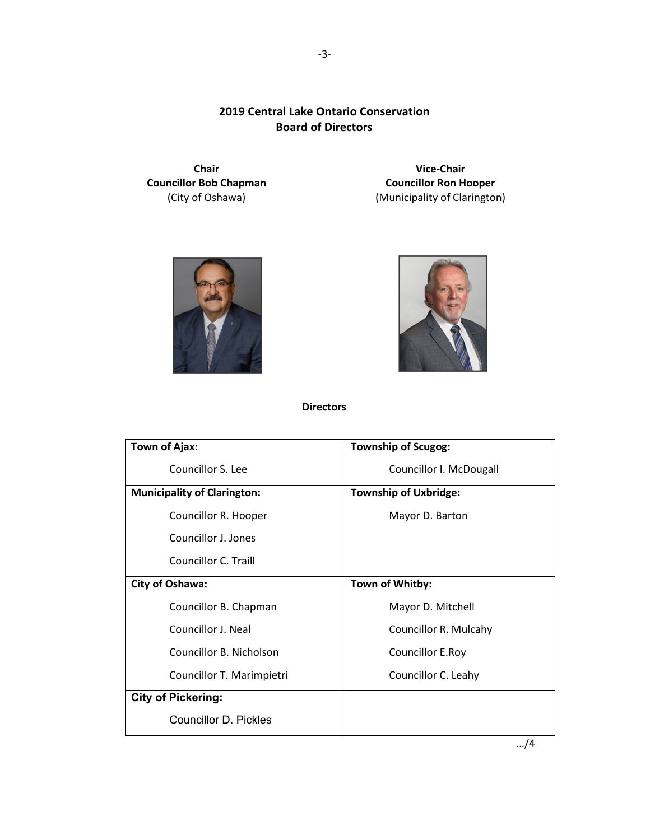### **2019 Central Lake Ontario Conservation Board of Directors**

**Chair Councillor Bob Chapman** (City of Oshawa)

**Vice-Chair Councillor Ron Hooper** (Municipality of Clarington)





**Directors**

| <b>Town of Ajax:</b>               | <b>Township of Scugog:</b>   |
|------------------------------------|------------------------------|
| Councillor S. Lee                  | Councillor I. McDougall      |
| <b>Municipality of Clarington:</b> | <b>Township of Uxbridge:</b> |
| Councillor R. Hooper               | Mayor D. Barton              |
| Councillor J. Jones                |                              |
| Councillor C. Traill               |                              |
| City of Oshawa:                    | Town of Whitby:              |
| Councillor B. Chapman              | Mayor D. Mitchell            |
| Councillor J. Neal                 | Councillor R. Mulcahy        |
| Councillor B. Nicholson            | Councillor E.Roy             |
| Councillor T. Marimpietri          | Councillor C. Leahy          |
| <b>City of Pickering:</b>          |                              |
| Councillor D. Pickles              |                              |